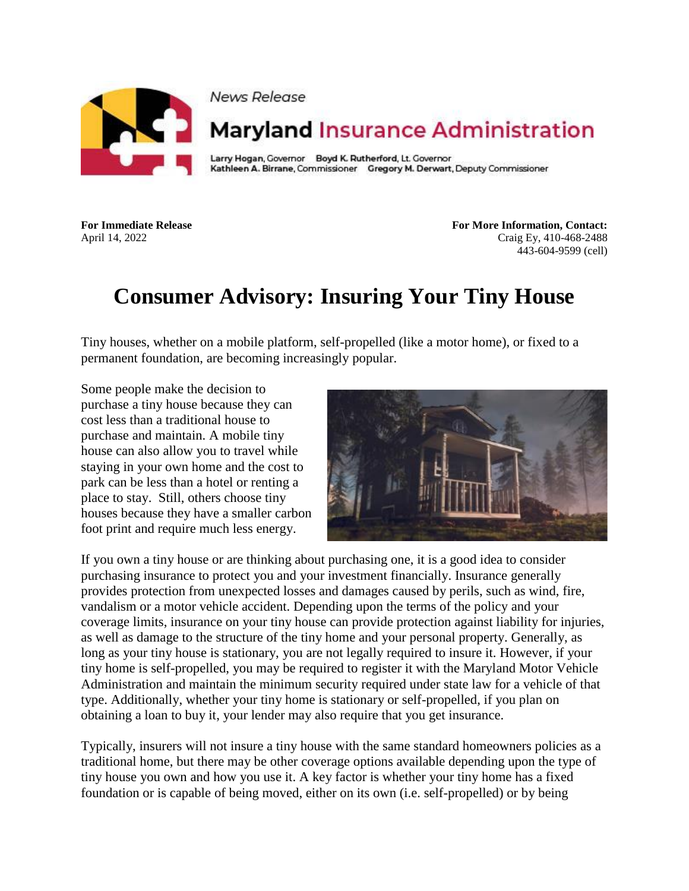

News Release

## **Maryland Insurance Administration**

Larry Hogan, Governor Boyd K. Rutherford, Lt. Governor Kathleen A. Birrane, Commissioner Gregory M. Derwart, Deputy Commissioner

**For Immediate Release For More Information, Contact:** April 14, 2022 Craig Ey, 410-468-2488 443-604-9599 (cell)

## **Consumer Advisory: Insuring Your Tiny House**

Tiny houses, whether on a mobile platform, self-propelled (like a motor home), or fixed to a permanent foundation, are becoming increasingly popular.

Some people make the decision to purchase a tiny house because they can cost less than a traditional house to purchase and maintain. A mobile tiny house can also allow you to travel while staying in your own home and the cost to park can be less than a hotel or renting a place to stay. Still, others choose tiny houses because they have a smaller carbon foot print and require much less energy.



If you own a tiny house or are thinking about purchasing one, it is a good idea to consider purchasing insurance to protect you and your investment financially. Insurance generally provides protection from unexpected losses and damages caused by perils, such as wind, fire, vandalism or a motor vehicle accident. Depending upon the terms of the policy and your coverage limits, insurance on your tiny house can provide protection against liability for injuries, as well as damage to the structure of the tiny home and your personal property. Generally, as long as your tiny house is stationary, you are not legally required to insure it. However, if your tiny home is self-propelled, you may be required to register it with the Maryland Motor Vehicle Administration and maintain the minimum security required under state law for a vehicle of that type. Additionally, whether your tiny home is stationary or self-propelled, if you plan on obtaining a loan to buy it, your lender may also require that you get insurance.

Typically, insurers will not insure a tiny house with the same standard homeowners policies as a traditional home, but there may be other coverage options available depending upon the type of tiny house you own and how you use it. A key factor is whether your tiny home has a fixed foundation or is capable of being moved, either on its own (i.e. self-propelled) or by being